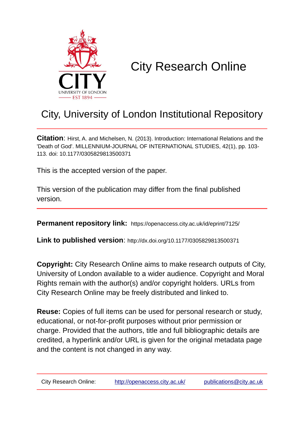

# City Research Online

## City, University of London Institutional Repository

**Citation**: Hirst, A. and Michelsen, N. (2013). Introduction: International Relations and the 'Death of God'. MILLENNIUM-JOURNAL OF INTERNATIONAL STUDIES, 42(1), pp. 103- 113. doi: 10.1177/0305829813500371

This is the accepted version of the paper.

This version of the publication may differ from the final published version.

**Permanent repository link:** https://openaccess.city.ac.uk/id/eprint/7125/

**Link to published version**: http://dx.doi.org/10.1177/0305829813500371

**Copyright:** City Research Online aims to make research outputs of City, University of London available to a wider audience. Copyright and Moral Rights remain with the author(s) and/or copyright holders. URLs from City Research Online may be freely distributed and linked to.

**Reuse:** Copies of full items can be used for personal research or study, educational, or not-for-profit purposes without prior permission or charge. Provided that the authors, title and full bibliographic details are credited, a hyperlink and/or URL is given for the original metadata page and the content is not changed in any way.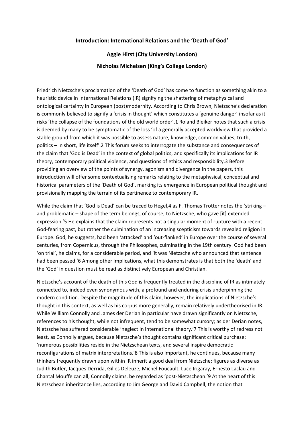#### **Introduction: International Relations and the 'Death of God'**

### **Aggie Hirst (City University London) Nicholas Michelsen (King's College London)**

Friedrich Nietzsche's proclamation of the 'Death of God' has come to function as something akin to a heuristic device in International Relations (IR) signifying the shattering of metaphysical and ontological certainty in European (post)modernity. According to Chris Brown, Nietzsche's declaration is commonly believed to signify a 'crisis in thought' which constitutes a 'genuine danger' insofar as it risks 'the collapse of the foundations of the old world order'.1 Roland Bleiker notes that such a crisis is deemed by many to be symptomatic of the loss 'of a generally accepted worldview that provided a stable ground from which it was possible to assess nature, knowledge, common values, truth, politics – in short, life itself'.2 This forum seeks to interrogate the substance and consequences of the claim that 'God is Dead' in the context of global politics, and specifically its implications for IR theory, contemporary political violence, and questions of ethics and responsibility.3 Before providing an overview of the points of synergy, agonism and divergence in the papers, this introduction will offer some contextualising remarks relating to the metaphysical, conceptual and historical parameters of the 'Death of God', marking its emergence in European political thought and provisionally mapping the terrain of its pertinence to contemporary IR.

While the claim that 'God is Dead' can be traced to Hegel,4 as F. Thomas Trotter notes the 'striking and problematic – shape of the term belongs, of course, to Nietzsche, who gave [it] extended expression.'5 He explains that the claim represents not a singular moment of rupture with a recent God-fearing past, but rather the culmination of an increasing scepticism towards revealed religion in Europe. God, he suggests, had been 'attacked' and 'out-flanked' in Europe over the course of several centuries, from Copernicus, through the Philosophes, culminating in the 19th century. God had been 'on trial', he claims, for a considerable period, and 'it was Nietzsche who announced that sentence had been passed.'6 Among other implications, what this demonstrates is that both the 'death' and the 'God' in question must be read as distinctively European and Christian.

Nietzsche's account of the death of this God is frequently treated in the discipline of IR as intimately connected to, indeed even synonymous with, a profound and enduring crisis underpinning the modern condition. Despite the magnitude of this claim, however, the implications of Nietzsche's thought in this context, as well as his corpus more generally, remain relatively undertheorised in IR. While William Connolly and James der Derian in particular have drawn significantly on Nietzsche, references to his thought, while not infrequent, tend to be somewhat cursory; as der Derian notes, Nietzsche has suffered considerable 'neglect in international theory.'7 This is worthy of redress not least, as Connolly argues, because Nietzsche's thought contains significant critical purchase: 'numerous possibilities reside in the Nietzschean texts, and several inspire democratic reconfigurations of matrix interpretations.'8 This is also important, he continues, because many thinkers frequently drawn upon within IR inherit a good deal from Nietzsche; figures as diverse as Judith Butler, Jacques Derrida, Gilles Deleuze, Michel Foucault, Luce Irigaray, Ernesto Laclau and Chantal Mouffe can all, Connolly claims, be regarded as 'post-Nietzschean.'9 At the heart of this Nietzschean inheritance lies, according to Jim George and David Campbell, the notion that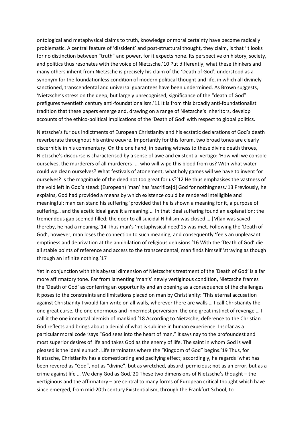ontological and metaphysical claims to truth, knowledge or moral certainty have become radically problematic. A central feature of 'dissident' and post-structural thought, they claim, is that 'it looks for no distinction between "truth" and power, for it expects none. Its perspective on history, society, and politics thus resonates with the voice of Nietzsche.'10 Put differently, what these thinkers and many others inherit from Nietzsche is precisely his claim of the 'Death of God', understood as a synonym for the foundationless condition of modern political thought and life, in which all divinely sanctioned, transcendental and universal guarantees have been undermined. As Brown suggests, 'Nietzsche's stress on the deep, but largely unrecognised, significance of the "death of God" prefigures twentieth century anti-foundationalism.'11 It is from this broadly anti-foundationalist tradition that these papers emerge and, drawing on a range of Nietzsche's inheritors, develop accounts of the ethico-political implications of the 'Death of God' with respect to global politics.

Nietzsche's furious indictments of European Christianity and his ecstatic declarations of God's death reverberate throughout his entire oeuvre. Importantly for this forum, two broad tones are clearly discernible in his commentary. On the one hand, in bearing witness to these divine death throes, Nietzsche's discourse is characterised by a sense of awe and existential vertigo: 'How will we console ourselves, the murderers of all murderers! … who will wipe this blood from us? With what water could we clean ourselves? What festivals of atonement, what holy games will we have to invent for ourselves? Is the magnitude of the deed not too great for us?'12 He thus emphasises the vastness of the void left in God's stead: (European) 'man' has 'sacrifice[d] God for nothingness.'13 Previously, he explains, God had provided a means by which existence could be rendered intelligible and meaningful; man can stand his suffering 'provided that he is shown a meaning for it, a purpose of suffering… and the acetic ideal gave it a meaning!… In that ideal suffering found an explanation; the tremendous gap seemed filled; the door to all suicidal Nihilism was closed … [M]an was saved thereby, he had a meaning.'14 Thus man's 'metaphysical need'15 was met. Following the 'Death of God', however, man loses the connection to such meaning, and consequently 'feels an unpleasant emptiness and deprivation at the annihilation of religious delusions.'16 With the 'Death of God' die all stable points of reference and access to the transcendental; man finds himself 'straying as though through an infinite nothing.'17

Yet in conjunction with this abyssal dimension of Nietzsche's treatment of the 'Death of God' is a far more affirmatory tone. Far from lamenting 'man's' newly vertiginous condition, Nietzsche frames the 'Death of God' as conferring an opportunity and an opening as a consequence of the challenges it poses to the constraints and limitations placed on man by Christianity: 'This eternal accusation against Christianity I would fain write on all walls, wherever there are walls … I call Christianity the one great curse, the one enormous and innermost perversion, the one great instinct of revenge … I call it the one immortal blemish of mankind.'18 According to Nietzsche, deference to the Christian God reflects and brings about a denial of what is sublime in human experience. Insofar as a particular moral code 'says "God sees into the heart of man," it says nay to the profoundest and most superior desires of life and takes God as the enemy of life. The saint in whom God is well pleased is the ideal eunuch. Life terminates where the "Kingdom of God" begins.'19 Thus, for Nietzsche, Christianity has a domesticating and pacifying effect; accordingly, he regards 'what has been revered as "God", not as "divine", but as wretched, absurd, pernicious; not as an error, but as a crime against life … We deny God as God.'20 These two dimensions of Nietzsche's thought – the vertiginous and the affirmatory – are central to many forms of European critical thought which have since emerged, from mid-20th century Existentialism, through the Frankfurt School, to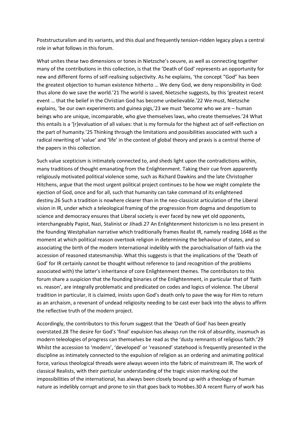Poststructuralism and its variants, and this dual and frequently tension-ridden legacy plays a central role in what follows in this forum.

What unites these two dimensions or tones in Nietzsche's oeuvre, as well as connecting together many of the contributions in this collection, is that the 'Death of God' represents an opportunity for new and different forms of self-realising subjectivity. As he explains, 'the concept "God" has been the greatest objection to human existence hitherto … We deny God, we deny responsibility in God: thus alone do we save the world.'21 The world is saved, Nietzsche suggests, by this 'greatest recent event … that the belief in the Christian God has become unbelievable.'22 We must, Nietzsche explains, 'be our own experiments and guinea pigs,'23 we must 'become who we are – human beings who are unique, incomparable, who give themselves laws, who create themselves.'24 What this entails is a '[r]evaluation of all values: that is my formula for the highest act of self-reflection on the part of humanity.'25 Thinking through the limitations and possibilities associated with such a radical rewriting of 'value' and 'life' in the context of global theory and praxis is a central theme of the papers in this collection.

Such value scepticism is intimately connected to, and sheds light upon the contradictions within, many traditions of thought emanating from the Enlightenment. Taking their cue from apparently religiously motivated political violence some, such as Richard Dawkins and the late Christopher Hitchens, argue that the most urgent political project continues to be how we might complete the ejection of God, once and for all, such that humanity can take command of its enlightened destiny.26 Such a tradition is nowhere clearer than in the neo-classicist articulation of the Liberal vision in IR, under which a teleological framing of the progression from dogma and despotism to science and democracy ensures that Liberal society is ever faced by new yet old opponents, interchangeably Papist, Nazi, Stalinist or Jihadi.27 An Enlightenment historicism is no less present in the founding Westphalian narrative which traditionally frames Realist IR, namely reading 1648 as the moment at which political reason overtook religion in determining the behaviour of states, and so associating the birth of the modern International indelibly with the parochialisation of faith via the accession of reasoned statesmanship. What this suggests is that the implications of the 'Death of God' for IR certainly cannot be thought without reference to (and recognition of the problems associated with) the latter's inheritance of core Enlightenment themes. The contributors to this forum share a suspicion that the founding binaries of the Enlightenment, in particular that of 'faith vs. reason', are integrally problematic and predicated on codes and logics of violence. The Liberal tradition in particular, it is claimed, insists upon God's death only to pave the way for Him to return as an archaism, a revenant of undead religiosity needing to be cast ever back into the abyss to affirm the reflective truth of the modern project.

Accordingly, the contributors to this forum suggest that the 'Death of God' has been greatly overstated.28 The desire for God's 'final' expulsion has always run the risk of absurdity, inasmuch as modern teleologies of progress can themselves be read as the 'dusty remnants of religious faith.'29 Whilst the accession to 'modern', 'developed' or 'reasoned' statehood is frequently presented in the discipline as intimately connected to the expulsion of religion as an ordering and animating political force, various theological threads were always woven into the fabric of mainstream IR. The work of classical Realists, with their particular understanding of the tragic vision marking out the impossibilities of the international, has always been closely bound up with a theology of human nature as indelibly corrupt and prone to sin that goes back to Hobbes.30 A recent flurry of work has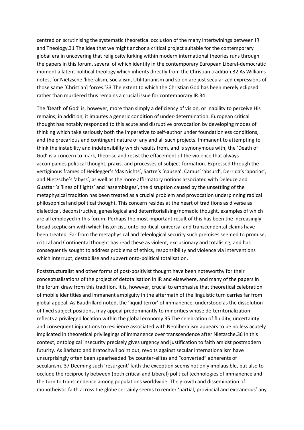centred on scrutinising the systematic theoretical occlusion of the many intertwinings between IR and Theology.31 The idea that we might anchor a critical project suitable for the contemporary global era in uncovering that religiosity lurking within modern international theories runs through the papers in this forum, several of which identify in the contemporary European Liberal-democratic moment a latent political theology which inherits directly from the Christian tradition.32 As Williams notes, for Nietzsche 'liberalism, socialism, Utilitarianism and so on are just secularized expressions of those same [Christian] forces.'33 The extent to which the Christian God has been merely eclipsed rather than murdered thus remains a crucial issue for contemporary IR.34

The 'Death of God' is, however, more than simply a deficiency of vision, or inability to perceive His remains; in addition, it imputes a generic condition of under-determination. European critical thought has notably responded to this acute and disruptive provocation by developing modes of thinking which take seriously both the imperative to self-author under foundationless conditions, and the precarious and contingent nature of any and all such projects. Immanent to attempting to think the instability and indefensibility which results from, and is synonymous with, the 'Death of God' is a concern to mark, theorise and resist the effacement of the violence that always accompanies political thought, praxis, and processes of subject-formation. Expressed through the vertiginous frames of Heidegger's 'das Nichts', Sartre's 'nausea', Camus' 'absurd', Derrida's 'aporias', and Nietzsche's 'abyss', as well as the more affirmatory notions associated with Deleuze and Guattari's 'lines of flights' and 'assemblages', the disruption caused by the unsettling of the metaphysical tradition has been treated as a crucial problem and provocation underpinning radical philosophical and political thought. This concern resides at the heart of traditions as diverse as dialectical, deconstructive, genealogical and deterritorialising/nomadic thought, examples of which are all employed in this forum. Perhaps the most important result of this has been the increasingly broad scepticism with which historicist, onto-political, universal and transcendental claims have been treated. Far from the metaphysical and teleological security such premises seemed to promise, critical and Continental thought has read these as violent, exclusionary and totalising, and has consequently sought to address problems of ethics, responsibility and violence via interventions which interrupt, destabilise and subvert onto-political totalisation.

Poststructuralist and other forms of post-positivist thought have been noteworthy for their conceptualisations of the project of detotalisation in IR and elsewhere, and many of the papers in the forum draw from this tradition. It is, however, crucial to emphasise that theoretical celebration of mobile identities and immanent ambiguity in the aftermath of the linguistic turn carries far from global appeal. As Baudrillard noted, the 'liquid terror' of immanence, understood as the dissolution of fixed subject positions, may appeal predominantly to minorities whose de-territorialization reflects a privileged location within the global economy.35 The celebration of fluidity, uncertainty and consequent injunctions to resilience associated with Neoliberalism appears to be no less acutely implicated in theoretical privilegings of immanence over transcendence after Nietzsche.36 In this context, ontological insecurity precisely gives urgency and justification to faith amidst postmodern futurity. As Barbato and Kratochwil point out, revolts against secular internationalism have unsurprisingly often been spearheaded 'by counter-elites and "converted" adherents of secularism.'37 Deeming such 'resurgent' faith the exception seems not only implausible, but also to occlude the reciprocity between (both critical and Liberal) political technologies of immanence and the turn to transcendence among populations worldwide. The growth and dissemination of monotheistic faith across the globe certainly seems to render 'partial, provincial and extraneous' any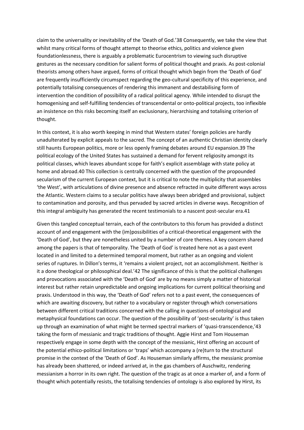claim to the universality or inevitability of the 'Death of God.'38 Consequently, we take the view that whilst many critical forms of thought attempt to theorise ethics, politics and violence given foundationlessness, there is arguably a problematic Eurocentrism to viewing such disruptive gestures as the necessary condition for salient forms of political thought and praxis. As post-colonial theorists among others have argued, forms of critical thought which begin from the 'Death of God' are frequently insufficiently circumspect regarding the geo-cultural specificity of this experience, and potentially totalising consequences of rendering this immanent and destabilising form of intervention the condition of possibility of a radical political agency. While intended to disrupt the homogenising and self-fulfilling tendencies of transcendental or onto-political projects, too inflexible an insistence on this risks becoming itself an exclusionary, hierarchising and totalising criterion of thought.

In this context, it is also worth keeping in mind that Western states' foreign policies are hardly unadulterated by explicit appeals to the sacred. The concept of an authentic Christian identity clearly still haunts European politics, more or less openly framing debates around EU expansion.39 The political ecology of the United States has sustained a demand for fervent religiosity amongst its political classes, which leaves abundant scope for faith's explicit assemblage with state policy at home and abroad.40 This collection is centrally concerned with the question of the propounded secularism of the current European context, but it is critical to note the multiplicity that assembles 'the West', with articulations of divine presence and absence refracted in quite different ways across the Atlantic. Western claims to a secular politics have always been abridged and provisional, subject to contamination and porosity, and thus pervaded by sacred articles in diverse ways. Recognition of this integral ambiguity has generated the recent testimonials to a nascent post-secular era.41

Given this tangled conceptual terrain, each of the contributors to this forum has provided a distinct account of and engagement with the (im)possibilities of a critical-theoretical engagement with the 'Death of God', but they are nonetheless united by a number of core themes. A key concern shared among the papers is that of temporality. The 'Death of God' is treated here not as a past event located in and limited to a determined temporal moment, but rather as an ongoing and violent series of ruptures. In Dillon's terms, it 'remains a violent project, not an accomplishment. Neither is it a done theological or philosophical deal.'42 The significance of this is that the political challenges and provocations associated with the 'Death of God' are by no means simply a matter of historical interest but rather retain unpredictable and ongoing implications for current political theorising and praxis. Understood in this way, the 'Death of God' refers not to a past event, the consequences of which are awaiting discovery, but rather to a vocabulary or register through which conversations between different critical traditions concerned with the calling in questions of ontological and metaphysical foundations can occur. The question of the possibility of 'post-secularity' is thus taken up through an examination of what might be termed spectral markers of 'quasi-transcendence,'43 taking the form of messianic and tragic traditions of thought. Aggie Hirst and Tom Houseman respectively engage in some depth with the concept of the messianic, Hirst offering an account of the potential ethico-political limitations or 'traps' which accompany a (re)turn to the structural promise in the context of the 'Death of God'. As Houseman similarly affirms, the messianic promise has already been shattered, or indeed arrived at, in the gas chambers of Auschwitz, rendering messianism a horror in its own right. The question of the tragic as at once a marker of, and a form of thought which potentially resists, the totalising tendencies of ontology is also explored by Hirst, its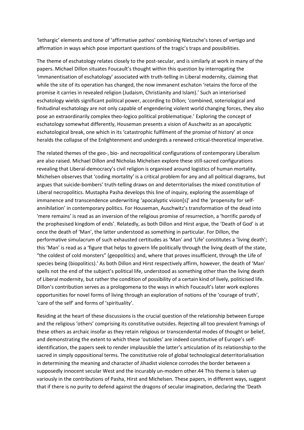'lethargic' elements and tone of 'affirmative pathos' combining Nietzsche's tones of vertigo and affirmation in ways which pose important questions of the tragic's traps and possibilities.

The theme of eschatology relates closely to the post-secular, and is similarly at work in many of the papers. Michael Dillon situates Foucault's thought within this question by interrogating the 'immanentisation of eschatology' associated with truth-telling in Liberal modernity, claiming that while the site of its operation has changed, the now immanent eschaton 'retains the force of the promise it carries in revealed religion (Judaism, Christianity and Islam).' Such an interiorised eschatology wields significant political power, according to Dillon; 'combined, soteriological and finitudinal eschatology are not only capable of engendering violent world changing forces, they also pose an extraordinarily complex theo-logico political problematique.' Exploring the concept of eschatology somewhat differently, Houseman presents a vision of Auschwitz as an apocalyptic eschatological break, one which in its 'catastrophic fulfilment of the promise of history' at once heralds the collapse of the Enlightenment and undergirds a renewed critical-theoretical imperative.

The related themes of the geo-, bio- and necropolitical configurations of contemporary Liberalism are also raised. Michael Dillon and Nicholas Michelsen explore these still-sacred configurations revealing that Liberal-democracy's civil religion is organised around logistics of human mortality. Michelsen observes that 'coding mortality' is a critical problem for any and all political diagrams, but argues that suicide-bombers' truth-telling draws on and deterritorialises the mixed constitution of Liberal necropolitics. Mustapha Pasha develops this line of inquiry, exploring the assemblage of immanence and transcendence underwriting 'apocalyptic vision[s]' and the 'propensity for selfannihilation' in contemporary politics. For Houseman, Auschwitz's transformation of the dead into 'mere remains' is read as an inversion of the religious promise of resurrection, a 'horrific parody of the prophesised kingdom of ends'. Relatedly, as both Dillon and Hirst argue, the 'Death of God' is at once the death of 'Man', the latter understood as something in particular. For Dillon, the performative simulacrum of such exhausted certitudes as 'Man' and 'Life' constitutes a 'living death'; this 'Man' is read as a 'figure that helps to govern life politically through the living death of the state, "the coldest of cold monsters" (geopolitics) and, where that proves insufficient, through the Life of species being (biopolitics).' As both Dillon and Hirst respectively affirm, however, the death of 'Man' spells not the end of the subject's political life, understood as something other than the living death of Liberal modernity, but rather the condition of possibility of a certain kind of lively, politicised life. Dillon's contribution serves as a prologomena to the ways in which Foucault's later work explores opportunities for novel forms of living through an exploration of notions of the 'courage of truth', 'care of the self' and forms of 'spirituality'.

Residing at the heart of these discussions is the crucial question of the relationship between Europe and the religious 'others' comprising its constitutive outsides. Rejecting all too prevalent framings of these others as archaic insofar as they retain religious or transcendental modes of thought or belief, and demonstrating the extent to which these 'outsides' are indeed constitutive of Europe's selfidentification, the papers seek to render implausible the latter's articulation of its relationship to the sacred in simply oppositional terms. The constitutive role of global technological deterritorialisation in determining the meaning and character of Jihadist violence corrodes the border between a supposedly innocent secular West and the incurably un-modern other.44 This theme is taken up variously in the contributions of Pasha, Hirst and Michelsen. These papers, in different ways, suggest that if there is no purity to defend against the dragons of secular imagination, declaring the 'Death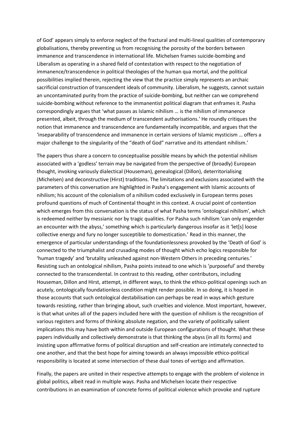of God' appears simply to enforce neglect of the fractural and multi-lineal qualities of contemporary globalisations, thereby preventing us from recognising the porosity of the borders between immanence and transcendence in international life. Michelsen frames suicide-bombing and Liberalism as operating in a shared field of contestation with respect to the negotiation of immanence/transcendence in political theologies of the human qua mortal, and the political possibilities implied therein, rejecting the view that the practice simply represents an archaic sacrificial construction of transcendent ideals of community. Liberalism, he suggests, cannot sustain an uncontaminated purity from the practice of suicide-bombing, but neither can we comprehend suicide-bombing without reference to the immanentist political diagram that enframes it. Pasha correspondingly argues that 'what passes as Islamic nihilism … is the nihilism of immanence presented, albeit, through the medium of transcendent authorisations.' He roundly critiques the notion that immanence and transcendence are fundamentally incompatible, and argues that the 'inseparability of transcendence and immanence in certain versions of Islamic mysticism … offers a major challenge to the singularity of the "death of God" narrative and its attendant nihilism.'

The papers thus share a concern to conceptualise possible means by which the potential nihilism associated with a 'godless' terrain may be navigated from the perspective of (broadly) European thought, invoking variously dialectical (Houseman), genealogical (Dillon), deterritorialising (Michelsen) and deconstructive (Hirst) traditions. The limitations and exclusions associated with the parameters of this conversation are highlighted in Pasha's engagement with Islamic accounts of nihilism; his account of the colonialism of a nihilism coded exclusively in European terms poses profound questions of much of Continental thought in this context. A crucial point of contention which emerges from this conversation is the status of what Pasha terms 'ontological nihilism', which is redeemed neither by messianic nor by tragic qualities. For Pasha such nihilism 'can only engender an encounter with the abyss,' something which is particularly dangerous insofar as it 'let[s] loose collective energy and fury no longer susceptible to domestication.' Read in this manner, the emergence of particular understandings of the foundationlessness provoked by the 'Death of God' is connected to the triumphalist and crusading modes of thought which echo logics responsible for 'human tragedy' and 'brutality unleashed against non-Western Others in preceding centuries.' Resisting such an ontological nihilism, Pasha points instead to one which is 'purposeful' and thereby connected to the transcendental. In contrast to this reading, other contributors, including Houseman, Dillon and Hirst, attempt, in different ways, to think the ethico-political openings such an acutely, ontologically foundationless condition might render possible. In so doing, it is hoped in those accounts that such ontological destabilisation can perhaps be read in ways which gesture towards resisting, rather than bringing about, such cruelties and violence. Most important, however, is that what unites all of the papers included here with the question of nihilism is the recognition of various registers and forms of thinking absolute negation, and the variety of politically salient implications this may have both within and outside European configurations of thought. What these papers individually and collectively demonstrate is that thinking the abyss (in all its forms) and insisting upon affirmative forms of political disruption and self-creation are intimately connected to one another, and that the best hope for aiming towards an always impossible ethico-political responsibility is located at some intersection of these dual tones of vertigo and affirmation.

Finally, the papers are united in their respective attempts to engage with the problem of violence in global politics, albeit read in multiple ways. Pasha and Michelsen locate their respective contributions in an examination of concrete forms of political violence which provoke and rupture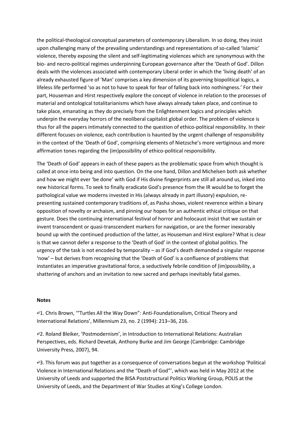the political-theological conceptual parameters of contemporary Liberalism. In so doing, they insist upon challenging many of the prevailing understandings and representations of so-called 'Islamic' violence, thereby exposing the silent and self-legitimating violences which are synonymous with the bio- and necro-political regimes underpinning European governance after the 'Death of God'. Dillon deals with the violences associated with contemporary Liberal order in which the 'living death' of an already exhausted figure of 'Man' comprises a key dimension of its governing biopolitical logics, a lifeless life performed 'so as not to have to speak for fear of falling back into nothingness.' For their part, Houseman and Hirst respectively explore the concept of violence in relation to the processes of material and ontological totalitarianisms which have always already taken place, and continue to take place, emanating as they do precisely from the Enlightenment logics and principles which underpin the everyday horrors of the neoliberal capitalist global order. The problem of violence is thus for all the papers intimately connected to the question of ethico-political responsibility. In their different focuses on violence, each contribution is haunted by the urgent challenge of responsibility in the context of the 'Death of God', comprising elements of Nietzsche's more vertiginous and more affirmation tones regarding the (im)possibility of ethico-political responsibility.

The 'Death of God' appears in each of these papers as the problematic space from which thought is called at once into being and into question. On the one hand, Dillon and Michelsen both ask whether and how we might ever 'be done' with God if His divine fingerprints are still all around us, inked into new historical forms. To seek to finally eradicate God's presence from the IR would be to forget the pathological value we moderns invested in His (always already in part illusory) expulsion, representing sustained contemporary traditions of, as Pasha shows, violent reverence within a binary opposition of novelty or archaism, and pinning our hopes for an authentic ethical critique on that gesture. Does the continuing international festival of horror and holocaust insist that we sustain or invent transcendent or quasi-transcendent markers for navigation, or are the former inexorably bound up with the continued production of the latter, as Houseman and Hirst explore? What is clear is that we cannot defer a response to the 'Death of God' in the context of global politics. The urgency of the task is not encoded by temporality – as if God's death demanded a singular response 'now' – but derives from recognising that the 'Death of God' is a confluence of problems that instantiates an imperative gravitational force, a seductively febrile condition of (im)possibility, a shattering of anchors and an invitation to new sacred and perhaps inevitably fatal games.

#### **Notes**

↵1. Chris Brown, '"Turtles All the Way Down": Anti-Foundationalism, Critical Theory and International Relations', Millennium 23, no. 2 (1994): 213–36, 216.

↵2. Roland Bleiker, 'Postmodernism', in Introduction to International Relations: Australian Perspectives, eds. Richard Devetak, Anthony Burke and Jim George (Cambridge: Cambridge University Press, 2007), 94.

↵3. This forum was put together as a consequence of conversations begun at the workshop 'Political Violence in International Relations and the "Death of God"', which was held in May 2012 at the University of Leeds and supported the BISA Poststructural Politics Working Group, POLIS at the University of Leeds, and the Department of War Studies at King's College London.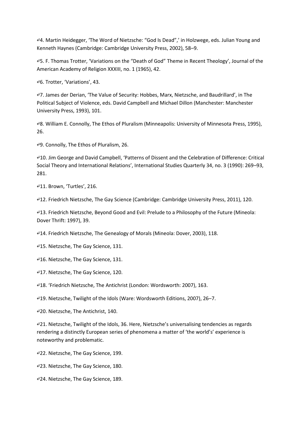↵4. Martin Heidegger, 'The Word of Nietzsche: "God Is Dead",' in Holzwege, eds. Julian Young and Kenneth Haynes (Cambridge: Cambridge University Press, 2002), 58–9.

↵5. F. Thomas Trotter, 'Variations on the "Death of God" Theme in Recent Theology', Journal of the American Academy of Religion XXXIII, no. 1 (1965), 42.

↵6. Trotter, 'Variations', 43.

↵7. James der Derian, 'The Value of Security: Hobbes, Marx, Nietzsche, and Baudrillard', in The Political Subject of Violence, eds. David Campbell and Michael Dillon (Manchester: Manchester University Press, 1993), 101.

↵8. William E. Connolly, The Ethos of Pluralism (Minneapolis: University of Minnesota Press, 1995), 26.

↵9. Connolly, The Ethos of Pluralism, 26.

↵10. Jim George and David Campbell, 'Patterns of Dissent and the Celebration of Difference: Critical Social Theory and International Relations', International Studies Quarterly 34, no. 3 (1990): 269–93, 281.

↵11. Brown, 'Turtles', 216.

↵12. Friedrich Nietzsche, The Gay Science (Cambridge: Cambridge University Press, 2011), 120.

↵13. Friedrich Nietzsche, Beyond Good and Evil: Prelude to a Philosophy of the Future (Mineola: Dover Thrift: 1997), 39.

↵14. Friedrich Nietzsche, The Genealogy of Morals (Mineola: Dover, 2003), 118.

↵15. Nietzsche, The Gay Science, 131.

↵16. Nietzsche, The Gay Science, 131.

↵17. Nietzsche, The Gay Science, 120.

↵18. 'Friedrich Nietzsche, The Antichrist (London: Wordsworth: 2007), 163.

↵19. Nietzsche, Twilight of the Idols (Ware: Wordsworth Editions, 2007), 26–7.

↵20. Nietzsche, The Antichrist, 140.

↵21. Nietzsche, Twilight of the Idols, 36. Here, Nietzsche's universalising tendencies as regards rendering a distinctly European series of phenomena a matter of 'the world's' experience is noteworthy and problematic.

↵22. Nietzsche, The Gay Science, 199.

↵23. Nietzsche, The Gay Science, 180.

↵24. Nietzsche, The Gay Science, 189.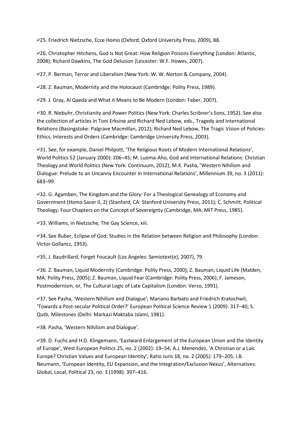↵25. Friedrich Nietzsche, Ecce Homo (Oxford: Oxford University Press, 2009), 88.

↵26. Christopher Hitchens, God Is Not Great: How Religion Poisons Everything (London: Atlantic, 2008); Richard Dawkins, The God Delusion (Leicester: W.F. Howes, 2007).

↵27. P. Berman, Terror and Liberalism (New York: W. W. Norton & Company, 2004).

↵28. Z. Bauman, Modernity and the Holocaust (Cambridge: Polity Press, 1989).

↵29. J. Gray, Al Qaeda and What it Means to Be Modern (London: Faber, 2007).

↵30. R. Niebuhr, Christianity and Power Politics (New York: Charles Scribner's Sons, 1952). See also the collection of articles in Toni Erksine and Richard Ned Lebow, eds., Tragedy and International Relations (Basingstoke: Palgrave Macmillan, 2012); Richard Ned Lebow, The Tragic Vision of Policies: Ethics, Interests and Orders (Cambridge: Cambridge University Press, 2003).

↵31. See, for example, Daniel Philpott, 'The Religious Roots of Modern International Relations', World Politics 52 (January 2000): 206–45; M. Luoma-Aho, God and International Relations: Christian Theology and World Politics (New York: Continuum, 2012); M.K. Pasha, 'Western Nihilism and Dialogue: Prelude to an Uncanny Encounter in International Relations', Millennium 39, no. 3 (2011): 683–99.

↵32. G. Agamben, The Kingdom and the Glory: For a Theological Genealogy of Economy and Government (Homo Sacer II, 2) (Stanford, CA: Stanford University Press, 2011); C. Schmitt, Political Theology: Four Chapters on the Concept of Sovereignty (Cambridge, MA: MIT Press, 1985).

↵33. Williams, in Nietzsche, The Gay Science, xiii.

↵34. See Buber, Eclipse of God: Studies in the Relation between Religion and Philosophy (London: Victor Gollancz, 1953).

↵35. J. Baudrillard, Forget Foucault (Los Angeles: Semiotext(e), 2007), 79.

↵36. Z. Bauman, Liquid Modernity (Cambridge: Polity Press, 2000); Z. Bauman, Liquid Life (Malden, MA: Polity Press, 2005); Z. Bauman, Liquid Fear (Cambridge: Polity Press, 2006); F. Jameson, Postmodernism, or, The Cultural Logic of Late Capitalism (London: Verso, 1991).

↵37. See Pasha, 'Western Nihilism and Dialogue'; Mariano Barbato and Friedrich Kratochwil, 'Towards a Post-secular Political Order?' European Political Science Review 1 (2009): 317–40; S. Qutb, Milestones (Delhi: Markazi Maktaba Islami, 1981).

↵38. Pasha, 'Western Nihilism and Dialogue'.

↵39. D. Fuchs and H.D. Klingemann, 'Eastward Enlargement of the European Union and the Identity of Europe', West European Politics 25, no. 2 (2002): 19–54; A.J. Menendez, 'A Christian or a Laïc Europe? Christian Values and European Identity', Ratio Juris 18, no. 2 (2005): 179–205; I.B. Neumann, 'European Identity, EU Expansion, and the Integration/Exclusion Nexus', Alternatives: Global, Local, Political 23, no. 3 (1998): 397–416.